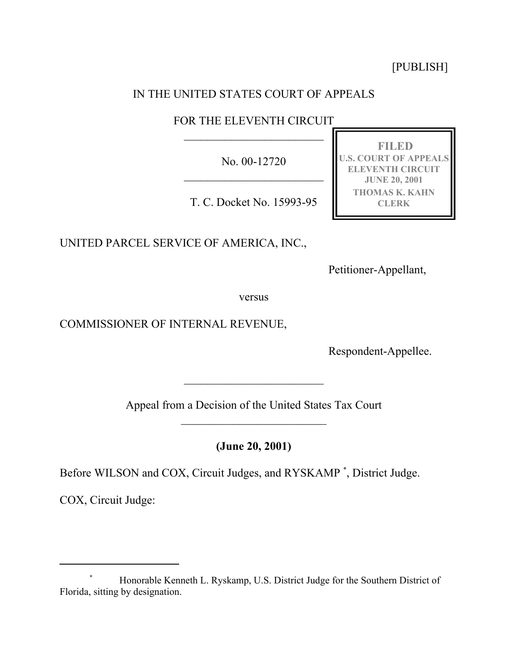[PUBLISH]

# IN THE UNITED STATES COURT OF APPEALS

## FOR THE ELEVENTH CIRCUIT  $\mathcal{L}_\text{max}$

No. 00-12720

T. C. Docket No. 15993-95

UNITED PARCEL SERVICE OF AMERICA, INC.,

**U.S. COURT OF APPEALS ELEVENTH CIRCUIT JUNE 20, 2001 THOMAS K. KAHN CLERK**

**FILED**

Petitioner-Appellant,

versus

COMMISSIONER OF INTERNAL REVENUE,

Respondent-Appellee.

Appeal from a Decision of the United States Tax Court  $\mathcal{L}_\text{max}$ 

 $\overline{\phantom{a}}$  , where  $\overline{\phantom{a}}$ 

**(June 20, 2001)**

Before WILSON and COX, Circuit Judges, and RYSKAMP \* , District Judge.

COX, Circuit Judge:

<sup>\*</sup> Honorable Kenneth L. Ryskamp, U.S. District Judge for the Southern District of Florida, sitting by designation.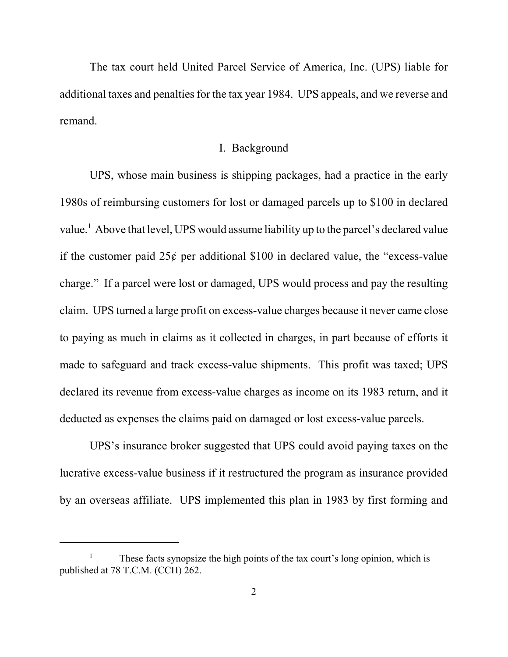The tax court held United Parcel Service of America, Inc. (UPS) liable for additional taxes and penalties for the tax year 1984. UPS appeals, and we reverse and remand.

## I. Background

UPS, whose main business is shipping packages, had a practice in the early 1980s of reimbursing customers for lost or damaged parcels up to \$100 in declared value.<sup>1</sup> Above that level, UPS would assume liability up to the parcel's declared value if the customer paid  $25¢$  per additional \$100 in declared value, the "excess-value charge." If a parcel were lost or damaged, UPS would process and pay the resulting claim. UPS turned a large profit on excess-value charges because it never came close to paying as much in claims as it collected in charges, in part because of efforts it made to safeguard and track excess-value shipments. This profit was taxed; UPS declared its revenue from excess-value charges as income on its 1983 return, and it deducted as expenses the claims paid on damaged or lost excess-value parcels.

UPS's insurance broker suggested that UPS could avoid paying taxes on the lucrative excess-value business if it restructured the program as insurance provided by an overseas affiliate. UPS implemented this plan in 1983 by first forming and

<sup>1</sup> These facts synopsize the high points of the tax court's long opinion, which is published at 78 T.C.M. (CCH) 262.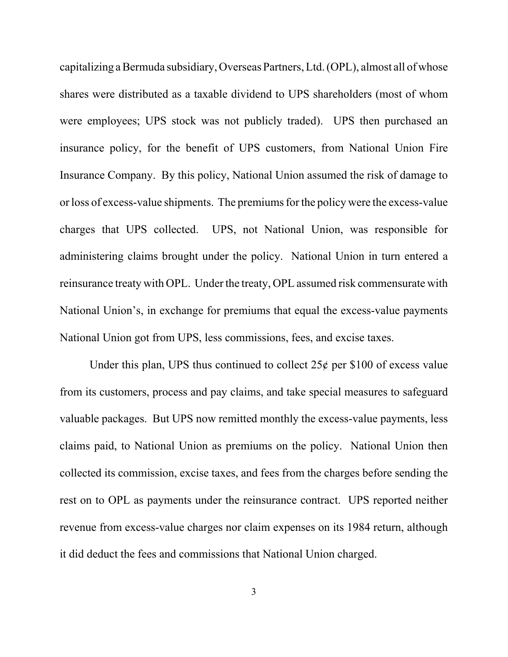capitalizing a Bermuda subsidiary, Overseas Partners, Ltd. (OPL), almost all of whose shares were distributed as a taxable dividend to UPS shareholders (most of whom were employees; UPS stock was not publicly traded). UPS then purchased an insurance policy, for the benefit of UPS customers, from National Union Fire Insurance Company. By this policy, National Union assumed the risk of damage to or loss of excess-value shipments. The premiums for the policy were the excess-value charges that UPS collected. UPS, not National Union, was responsible for administering claims brought under the policy. National Union in turn entered a reinsurance treaty with OPL. Under the treaty, OPL assumed risk commensurate with National Union's, in exchange for premiums that equal the excess-value payments National Union got from UPS, less commissions, fees, and excise taxes.

Under this plan, UPS thus continued to collect  $25¢$  per \$100 of excess value from its customers, process and pay claims, and take special measures to safeguard valuable packages. But UPS now remitted monthly the excess-value payments, less claims paid, to National Union as premiums on the policy. National Union then collected its commission, excise taxes, and fees from the charges before sending the rest on to OPL as payments under the reinsurance contract. UPS reported neither revenue from excess-value charges nor claim expenses on its 1984 return, although it did deduct the fees and commissions that National Union charged.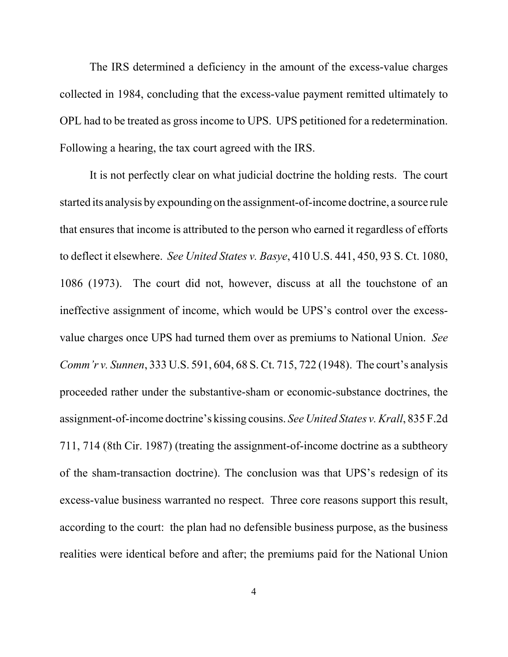The IRS determined a deficiency in the amount of the excess-value charges collected in 1984, concluding that the excess-value payment remitted ultimately to OPL had to be treated as gross income to UPS. UPS petitioned for a redetermination. Following a hearing, the tax court agreed with the IRS.

It is not perfectly clear on what judicial doctrine the holding rests. The court started its analysis by expounding on the assignment-of-income doctrine, a source rule that ensures that income is attributed to the person who earned it regardless of efforts to deflect it elsewhere. *See United States v. Basye*, 410 U.S. 441, 450, 93 S. Ct. 1080, 1086 (1973). The court did not, however, discuss at all the touchstone of an ineffective assignment of income, which would be UPS's control over the excessvalue charges once UPS had turned them over as premiums to National Union. *See Comm'r v. Sunnen*, 333 U.S. 591, 604, 68 S. Ct. 715, 722 (1948). The court's analysis proceeded rather under the substantive-sham or economic-substance doctrines, the assignment-of-income doctrine's kissing cousins. *See United States v. Krall*, 835 F.2d 711, 714 (8th Cir. 1987) (treating the assignment-of-income doctrine as a subtheory of the sham-transaction doctrine). The conclusion was that UPS's redesign of its excess-value business warranted no respect. Three core reasons support this result, according to the court: the plan had no defensible business purpose, as the business realities were identical before and after; the premiums paid for the National Union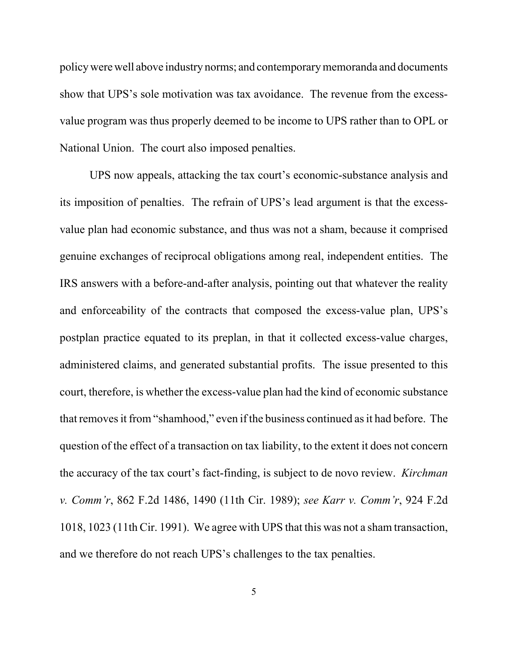policy were well above industry norms; and contemporary memoranda and documents show that UPS's sole motivation was tax avoidance. The revenue from the excessvalue program was thus properly deemed to be income to UPS rather than to OPL or National Union. The court also imposed penalties.

UPS now appeals, attacking the tax court's economic-substance analysis and its imposition of penalties. The refrain of UPS's lead argument is that the excessvalue plan had economic substance, and thus was not a sham, because it comprised genuine exchanges of reciprocal obligations among real, independent entities. The IRS answers with a before-and-after analysis, pointing out that whatever the reality and enforceability of the contracts that composed the excess-value plan, UPS's postplan practice equated to its preplan, in that it collected excess-value charges, administered claims, and generated substantial profits. The issue presented to this court, therefore, is whether the excess-value plan had the kind of economic substance that removes it from "shamhood," even if the business continued as it had before. The question of the effect of a transaction on tax liability, to the extent it does not concern the accuracy of the tax court's fact-finding, is subject to de novo review. *Kirchman v. Comm'r*, 862 F.2d 1486, 1490 (11th Cir. 1989); *see Karr v. Comm'r*, 924 F.2d 1018, 1023 (11th Cir. 1991). We agree with UPS that this was not a sham transaction, and we therefore do not reach UPS's challenges to the tax penalties.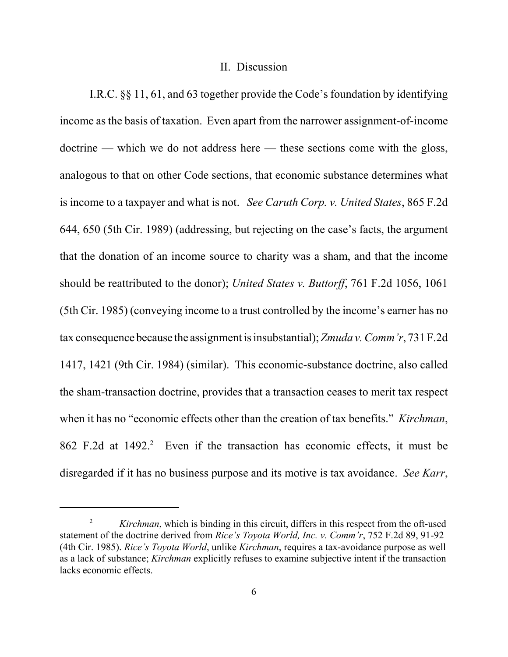#### II. Discussion

I.R.C. §§ 11, 61, and 63 together provide the Code's foundation by identifying income as the basis of taxation. Even apart from the narrower assignment-of-income doctrine — which we do not address here — these sections come with the gloss, analogous to that on other Code sections, that economic substance determines what is income to a taxpayer and what is not. *See Caruth Corp. v. United States*, 865 F.2d 644, 650 (5th Cir. 1989) (addressing, but rejecting on the case's facts, the argument that the donation of an income source to charity was a sham, and that the income should be reattributed to the donor); *United States v. Buttorff*, 761 F.2d 1056, 1061 (5th Cir. 1985) (conveying income to a trust controlled by the income's earner has no tax consequence because the assignment is insubstantial); *Zmuda v. Comm'r*, 731 F.2d 1417, 1421 (9th Cir. 1984) (similar). This economic-substance doctrine, also called the sham-transaction doctrine, provides that a transaction ceases to merit tax respect when it has no "economic effects other than the creation of tax benefits." *Kirchman*, 862 F.2d at 1492.<sup>2</sup> Even if the transaction has economic effects, it must be disregarded if it has no business purpose and its motive is tax avoidance. *See Karr*,

<sup>&</sup>lt;sup>2</sup> *Kirchman*, which is binding in this circuit, differs in this respect from the oft-used statement of the doctrine derived from *Rice's Toyota World, Inc. v. Comm'r*, 752 F.2d 89, 91-92 (4th Cir. 1985). *Rice's Toyota World*, unlike *Kirchman*, requires a tax-avoidance purpose as well as a lack of substance; *Kirchman* explicitly refuses to examine subjective intent if the transaction lacks economic effects.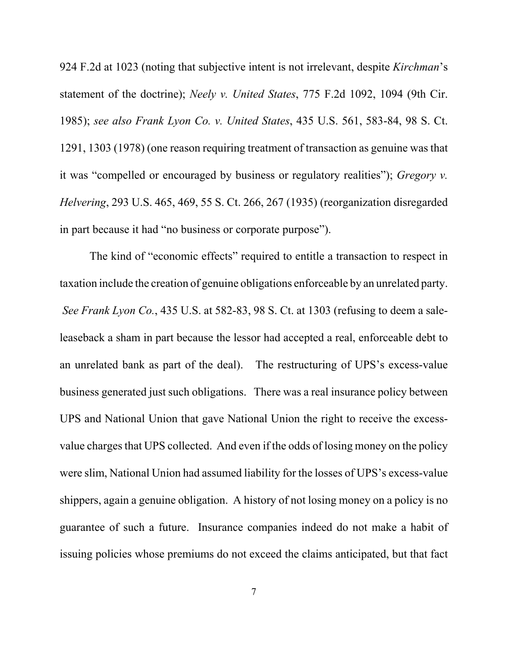924 F.2d at 1023 (noting that subjective intent is not irrelevant, despite *Kirchman*'s statement of the doctrine); *Neely v. United States*, 775 F.2d 1092, 1094 (9th Cir. 1985); *see also Frank Lyon Co. v. United States*, 435 U.S. 561, 583-84, 98 S. Ct. 1291, 1303 (1978) (one reason requiring treatment of transaction as genuine was that it was "compelled or encouraged by business or regulatory realities"); *Gregory v. Helvering*, 293 U.S. 465, 469, 55 S. Ct. 266, 267 (1935) (reorganization disregarded in part because it had "no business or corporate purpose").

The kind of "economic effects" required to entitle a transaction to respect in taxation include the creation of genuine obligations enforceable by an unrelated party. *See Frank Lyon Co.*, 435 U.S. at 582-83, 98 S. Ct. at 1303 (refusing to deem a saleleaseback a sham in part because the lessor had accepted a real, enforceable debt to an unrelated bank as part of the deal). The restructuring of UPS's excess-value business generated just such obligations. There was a real insurance policy between UPS and National Union that gave National Union the right to receive the excessvalue charges that UPS collected. And even if the odds of losing money on the policy were slim, National Union had assumed liability for the losses of UPS's excess-value shippers, again a genuine obligation. A history of not losing money on a policy is no guarantee of such a future. Insurance companies indeed do not make a habit of issuing policies whose premiums do not exceed the claims anticipated, but that fact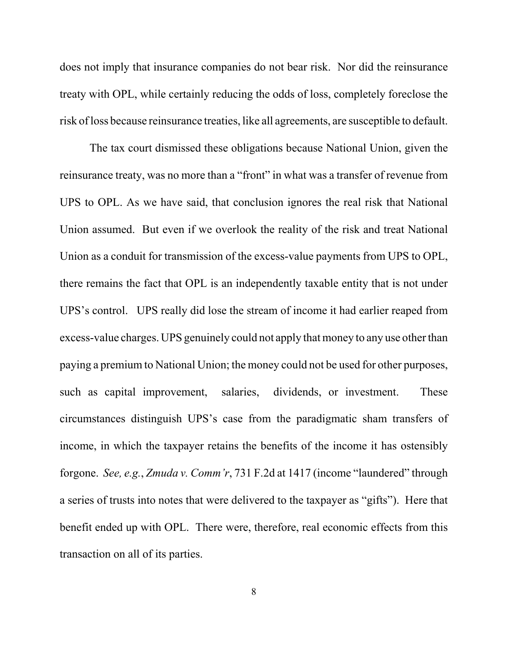does not imply that insurance companies do not bear risk. Nor did the reinsurance treaty with OPL, while certainly reducing the odds of loss, completely foreclose the risk of loss because reinsurance treaties, like all agreements, are susceptible to default.

The tax court dismissed these obligations because National Union, given the reinsurance treaty, was no more than a "front" in what was a transfer of revenue from UPS to OPL. As we have said, that conclusion ignores the real risk that National Union assumed. But even if we overlook the reality of the risk and treat National Union as a conduit for transmission of the excess-value payments from UPS to OPL, there remains the fact that OPL is an independently taxable entity that is not under UPS's control. UPS really did lose the stream of income it had earlier reaped from excess-value charges. UPS genuinely could not apply that money to any use other than paying a premium to National Union; the money could not be used for other purposes, such as capital improvement, salaries, dividends, or investment. These circumstances distinguish UPS's case from the paradigmatic sham transfers of income, in which the taxpayer retains the benefits of the income it has ostensibly forgone. *See, e.g.*, *Zmuda v. Comm'r*, 731 F.2d at 1417 (income "laundered" through a series of trusts into notes that were delivered to the taxpayer as "gifts"). Here that benefit ended up with OPL. There were, therefore, real economic effects from this transaction on all of its parties.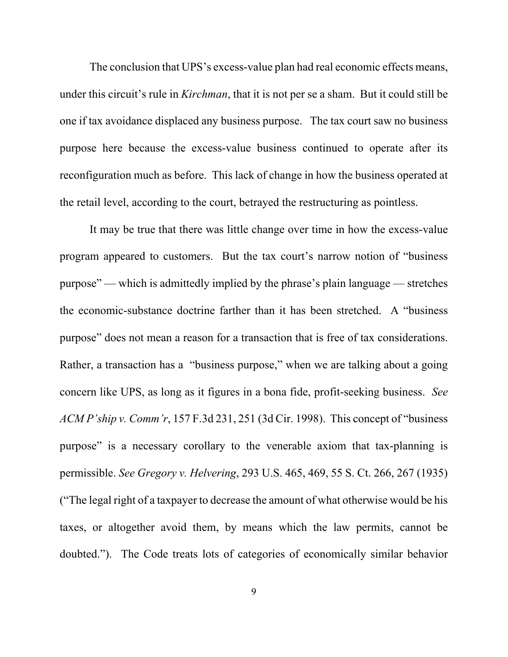The conclusion that UPS's excess-value plan had real economic effects means, under this circuit's rule in *Kirchman*, that it is not per se a sham. But it could still be one if tax avoidance displaced any business purpose. The tax court saw no business purpose here because the excess-value business continued to operate after its reconfiguration much as before. This lack of change in how the business operated at the retail level, according to the court, betrayed the restructuring as pointless.

It may be true that there was little change over time in how the excess-value program appeared to customers. But the tax court's narrow notion of "business purpose" — which is admittedly implied by the phrase's plain language — stretches the economic-substance doctrine farther than it has been stretched. A "business purpose" does not mean a reason for a transaction that is free of tax considerations. Rather, a transaction has a "business purpose," when we are talking about a going concern like UPS, as long as it figures in a bona fide, profit-seeking business. *See ACM P'ship v. Comm'r*, 157 F.3d 231, 251 (3d Cir. 1998). This concept of "business purpose" is a necessary corollary to the venerable axiom that tax-planning is permissible. *See Gregory v. Helvering*, 293 U.S. 465, 469, 55 S. Ct. 266, 267 (1935) ("The legal right of a taxpayer to decrease the amount of what otherwise would be his taxes, or altogether avoid them, by means which the law permits, cannot be doubted."). The Code treats lots of categories of economically similar behavior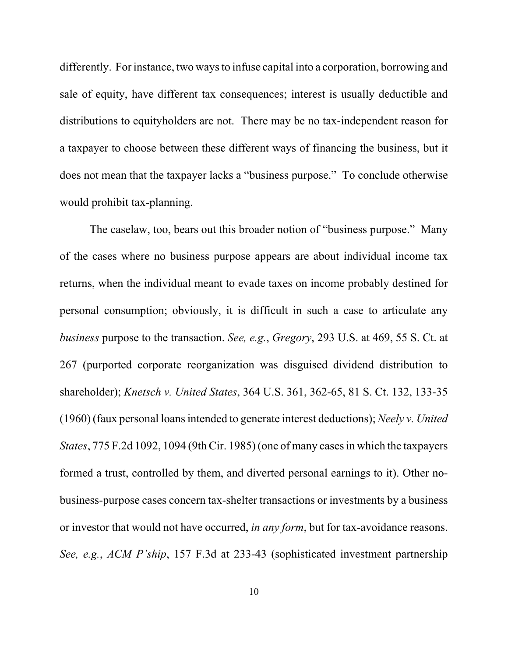differently. For instance, two ways to infuse capital into a corporation, borrowing and sale of equity, have different tax consequences; interest is usually deductible and distributions to equityholders are not. There may be no tax-independent reason for a taxpayer to choose between these different ways of financing the business, but it does not mean that the taxpayer lacks a "business purpose." To conclude otherwise would prohibit tax-planning.

The caselaw, too, bears out this broader notion of "business purpose." Many of the cases where no business purpose appears are about individual income tax returns, when the individual meant to evade taxes on income probably destined for personal consumption; obviously, it is difficult in such a case to articulate any *business* purpose to the transaction. *See, e.g.*, *Gregory*, 293 U.S. at 469, 55 S. Ct. at 267 (purported corporate reorganization was disguised dividend distribution to shareholder); *Knetsch v. United States*, 364 U.S. 361, 362-65, 81 S. Ct. 132, 133-35 (1960) (faux personal loans intended to generate interest deductions); *Neely v. United States*, 775 F.2d 1092, 1094 (9th Cir. 1985) (one of many cases in which the taxpayers formed a trust, controlled by them, and diverted personal earnings to it). Other nobusiness-purpose cases concern tax-shelter transactions or investments by a business or investor that would not have occurred, *in any form*, but for tax-avoidance reasons. *See, e.g.*, *ACM P'ship*, 157 F.3d at 233-43 (sophisticated investment partnership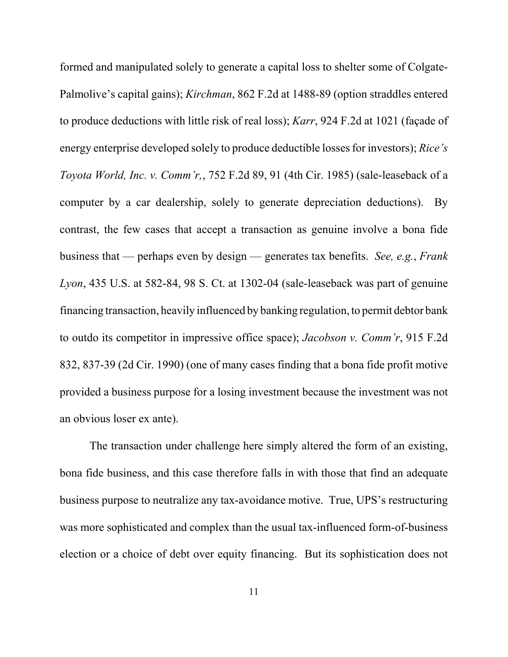formed and manipulated solely to generate a capital loss to shelter some of Colgate-Palmolive's capital gains); *Kirchman*, 862 F.2d at 1488-89 (option straddles entered to produce deductions with little risk of real loss); *Karr*, 924 F.2d at 1021 (façade of energy enterprise developed solely to produce deductible losses for investors); *Rice's Toyota World, Inc. v. Comm'r,*, 752 F.2d 89, 91 (4th Cir. 1985) (sale-leaseback of a computer by a car dealership, solely to generate depreciation deductions). By contrast, the few cases that accept a transaction as genuine involve a bona fide business that — perhaps even by design — generates tax benefits. *See, e.g.*, *Frank Lyon*, 435 U.S. at 582-84, 98 S. Ct. at 1302-04 (sale-leaseback was part of genuine financing transaction, heavily influenced by banking regulation, to permit debtor bank to outdo its competitor in impressive office space); *Jacobson v. Comm'r*, 915 F.2d 832, 837-39 (2d Cir. 1990) (one of many cases finding that a bona fide profit motive provided a business purpose for a losing investment because the investment was not an obvious loser ex ante).

The transaction under challenge here simply altered the form of an existing, bona fide business, and this case therefore falls in with those that find an adequate business purpose to neutralize any tax-avoidance motive. True, UPS's restructuring was more sophisticated and complex than the usual tax-influenced form-of-business election or a choice of debt over equity financing. But its sophistication does not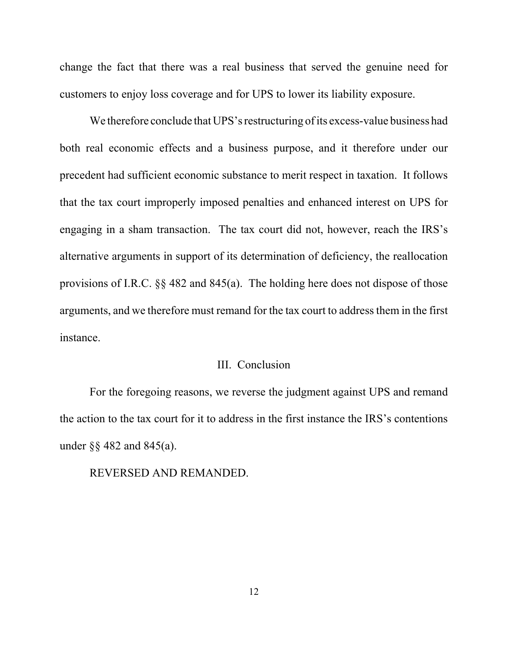change the fact that there was a real business that served the genuine need for customers to enjoy loss coverage and for UPS to lower its liability exposure.

We therefore conclude that UPS's restructuring of its excess-value business had both real economic effects and a business purpose, and it therefore under our precedent had sufficient economic substance to merit respect in taxation. It follows that the tax court improperly imposed penalties and enhanced interest on UPS for engaging in a sham transaction. The tax court did not, however, reach the IRS's alternative arguments in support of its determination of deficiency, the reallocation provisions of I.R.C. §§ 482 and 845(a). The holding here does not dispose of those arguments, and we therefore must remand for the tax court to address them in the first instance.

### III. Conclusion

For the foregoing reasons, we reverse the judgment against UPS and remand the action to the tax court for it to address in the first instance the IRS's contentions under §§ 482 and 845(a).

REVERSED AND REMANDED.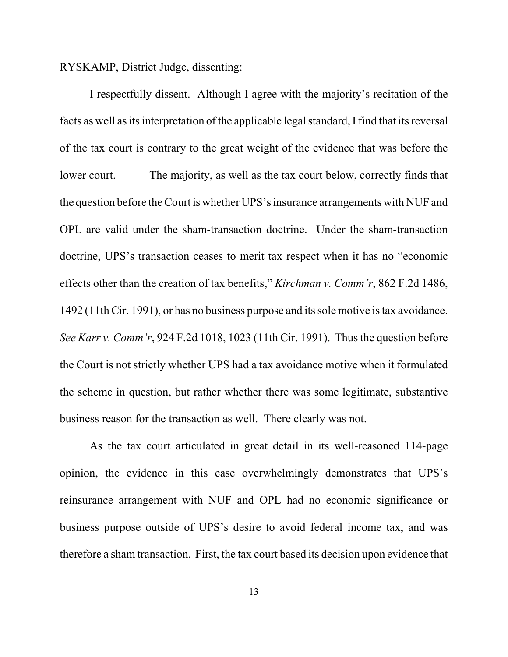RYSKAMP, District Judge, dissenting:

I respectfully dissent. Although I agree with the majority's recitation of the facts as well as its interpretation of the applicable legal standard, I find that its reversal of the tax court is contrary to the great weight of the evidence that was before the lower court. The majority, as well as the tax court below, correctly finds that the question before the Court is whether UPS's insurance arrangements with NUF and OPL are valid under the sham-transaction doctrine. Under the sham-transaction doctrine, UPS's transaction ceases to merit tax respect when it has no "economic effects other than the creation of tax benefits," *Kirchman v. Comm'r*, 862 F.2d 1486, 1492 (11th Cir. 1991), or has no business purpose and its sole motive is tax avoidance. *See Karr v. Comm'r*, 924 F.2d 1018, 1023 (11th Cir. 1991). Thus the question before the Court is not strictly whether UPS had a tax avoidance motive when it formulated the scheme in question, but rather whether there was some legitimate, substantive business reason for the transaction as well. There clearly was not.

As the tax court articulated in great detail in its well-reasoned 114-page opinion, the evidence in this case overwhelmingly demonstrates that UPS's reinsurance arrangement with NUF and OPL had no economic significance or business purpose outside of UPS's desire to avoid federal income tax, and was therefore a sham transaction. First, the tax court based its decision upon evidence that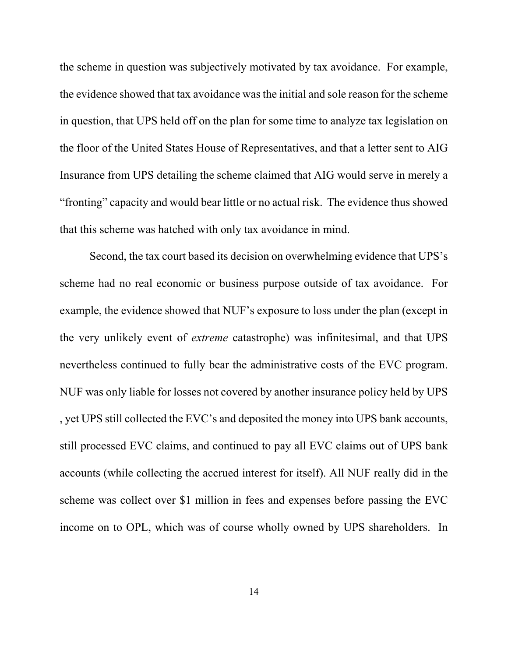the scheme in question was subjectively motivated by tax avoidance. For example, the evidence showed that tax avoidance was the initial and sole reason for the scheme in question, that UPS held off on the plan for some time to analyze tax legislation on the floor of the United States House of Representatives, and that a letter sent to AIG Insurance from UPS detailing the scheme claimed that AIG would serve in merely a "fronting" capacity and would bear little or no actual risk. The evidence thus showed that this scheme was hatched with only tax avoidance in mind.

Second, the tax court based its decision on overwhelming evidence that UPS's scheme had no real economic or business purpose outside of tax avoidance. For example, the evidence showed that NUF's exposure to loss under the plan (except in the very unlikely event of *extreme* catastrophe) was infinitesimal, and that UPS nevertheless continued to fully bear the administrative costs of the EVC program. NUF was only liable for losses not covered by another insurance policy held by UPS , yet UPS still collected the EVC's and deposited the money into UPS bank accounts, still processed EVC claims, and continued to pay all EVC claims out of UPS bank accounts (while collecting the accrued interest for itself). All NUF really did in the scheme was collect over \$1 million in fees and expenses before passing the EVC income on to OPL, which was of course wholly owned by UPS shareholders. In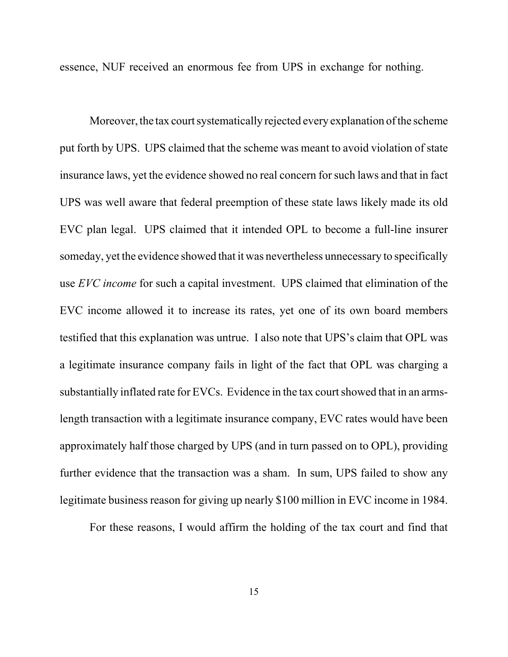essence, NUF received an enormous fee from UPS in exchange for nothing.

Moreover, the tax court systematically rejected every explanation of the scheme put forth by UPS. UPS claimed that the scheme was meant to avoid violation of state insurance laws, yet the evidence showed no real concern for such laws and that in fact UPS was well aware that federal preemption of these state laws likely made its old EVC plan legal. UPS claimed that it intended OPL to become a full-line insurer someday, yet the evidence showed that it was nevertheless unnecessary to specifically use *EVC income* for such a capital investment. UPS claimed that elimination of the EVC income allowed it to increase its rates, yet one of its own board members testified that this explanation was untrue. I also note that UPS's claim that OPL was a legitimate insurance company fails in light of the fact that OPL was charging a substantially inflated rate for EVCs. Evidence in the tax court showed that in an armslength transaction with a legitimate insurance company, EVC rates would have been approximately half those charged by UPS (and in turn passed on to OPL), providing further evidence that the transaction was a sham. In sum, UPS failed to show any legitimate business reason for giving up nearly \$100 million in EVC income in 1984.

For these reasons, I would affirm the holding of the tax court and find that